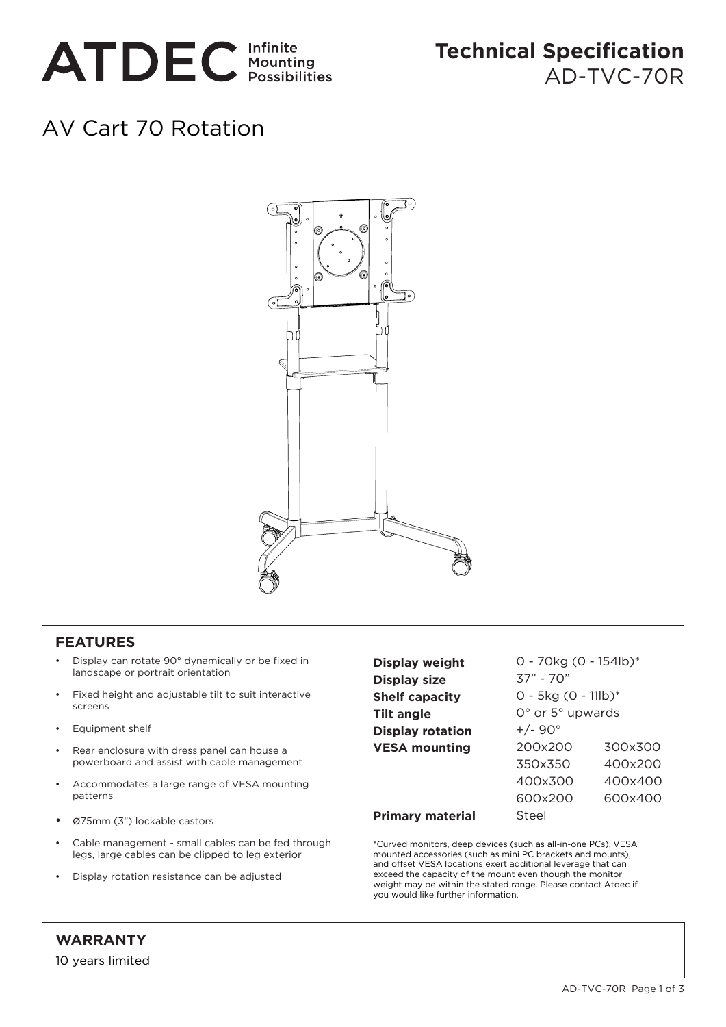

# **Technical Specification** AD-TVC-70R

# AV Cart 70 Rotation



#### **FEATURES**

- Display can rotate 90° dynamically or be fixed in landscape or portrait orientation
- Fixed height and adjustable tilt to suit interactive screens
- Equipment shelf
- Rear enclosure with dress panel can house a powerboard and assist with cable management
- Accommodates a large range of VESA mounting patterns
- ø75mm (3") lockable castors
- Cable management small cables can be fed through legs, large cables can be clipped to leg exterior
- Display rotation resistance can be adjusted

| Display weight          | $0 - 70$ kg (0 - 154lb)*           |         |
|-------------------------|------------------------------------|---------|
| <b>Display size</b>     | 37" - 70"                          |         |
| <b>Shelf capacity</b>   | $0 - 5kg (0 - 11lb)^*$             |         |
| Tilt angle              | $0^{\circ}$ or $5^{\circ}$ upwards |         |
| <b>Display rotation</b> | $+/- 90^{\circ}$                   |         |
| <b>VESA mounting</b>    | 200x200                            | 300x300 |
|                         | 350x350                            | 400x200 |
|                         | 400x300                            | 400x400 |
|                         | 600x200                            | 600×400 |
| <b>Primary material</b> | Steel                              |         |

\*Curved monitors, deep devices (such as all-in-one PCs), VESA mounted accessories (such as mini PC brackets and mounts), and offset VESA locations exert additional leverage that can exceed the capacity of the mount even though the monitor weight may be within the stated range. Please contact Atdec if you would like further information.

## **WARRANTY**

10 years limited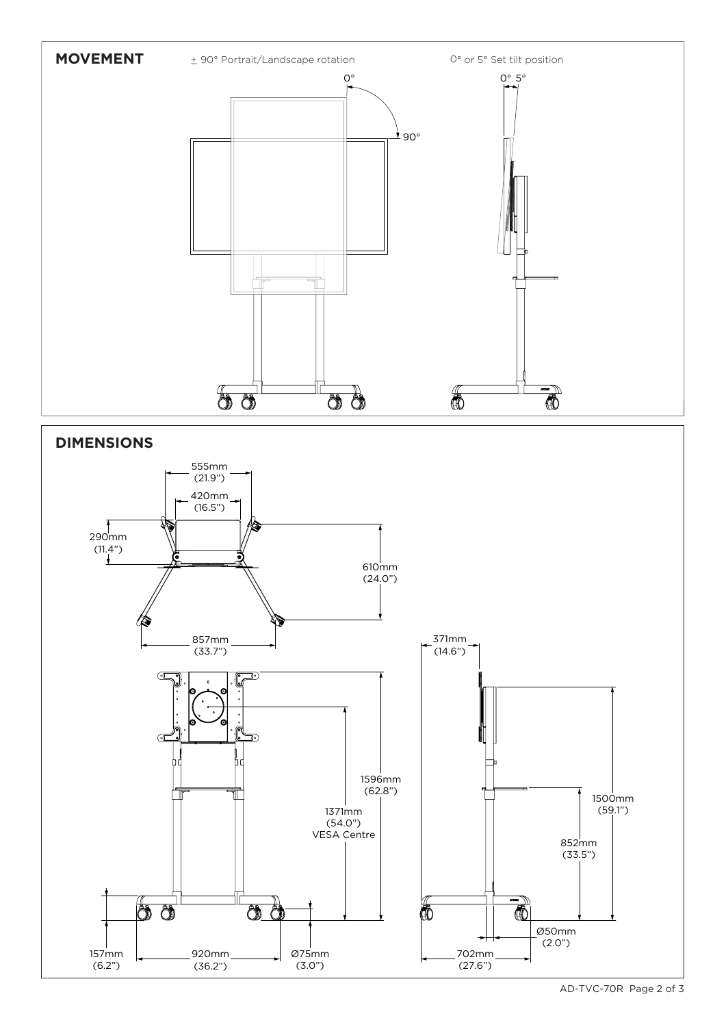

VESA Centre

Ø75mm (3.0")

đđ

920mm (36.2")

157mm (6.2")

 $\delta$ 

AD-TVC-70R Page 2 of 3

852mm (33.5")

Ø50mm (2.0")

 $\overline{\mathbb{C}}$ 

702mm (27.6")

Ō